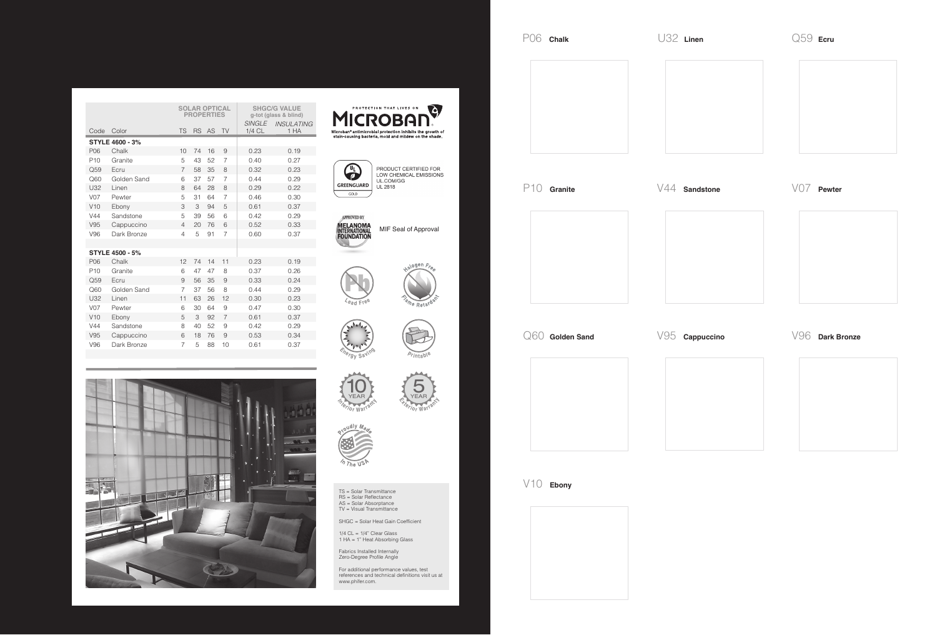|  |                 |                        | <b>SOLAR OPTICAL</b><br><b>PROPERTIES</b> |    |    |                | <b>SHGC/G VALUE</b><br>g-tot (glass & blind) |                           |
|--|-----------------|------------------------|-------------------------------------------|----|----|----------------|----------------------------------------------|---------------------------|
|  | Code            | Color                  | <b>TS</b>                                 | RS | AS | <b>TV</b>      | <b>SINGLE</b><br>1/4 CL                      | <b>INSULATING</b><br>1 HA |
|  |                 | <b>STYLE 4600 - 3%</b> |                                           |    |    |                |                                              |                           |
|  | P06             | Chalk                  | 10                                        | 74 | 16 | 9              | 0.23                                         | 0.19                      |
|  | P <sub>10</sub> | Granite                | 5                                         | 43 | 52 | 7              | 0.40                                         | 0.27                      |
|  | Q59             | Ecru                   | 7                                         | 58 | 35 | 8              | 0.32                                         | 0.23                      |
|  | Q60             | Golden Sand            | 6                                         | 37 | 57 | $\overline{7}$ | 0.44                                         | 0.29                      |
|  | U32             | Linen                  | 8                                         | 64 | 28 | 8              | 0.29                                         | 0.22                      |
|  | V <sub>07</sub> | Pewter                 | 5                                         | 31 | 64 | $\overline{7}$ | 0.46                                         | 0.30                      |
|  | V10             | Ebony                  | 3                                         | 3  | 94 | 5              | 0.61                                         | 0.37                      |
|  | V44             | Sandstone              | 5                                         | 39 | 56 | 6              | 0.42                                         | 0.29                      |
|  | V95             | Cappuccino             | 4                                         | 20 | 76 | 6              | 0.52                                         | 0.33                      |
|  | V96             | Dark Bronze            | $\overline{4}$                            | 5  | 91 | $\overline{7}$ | 0.60                                         | 0.37                      |
|  |                 |                        |                                           |    |    |                |                                              |                           |
|  |                 | <b>STYLE 4500 - 5%</b> |                                           |    |    |                |                                              |                           |
|  | P06             | Chalk                  | 12                                        | 74 | 14 | 11             | 0.23                                         | 0.19                      |
|  | P <sub>10</sub> | Granite                | 6                                         | 47 | 47 | 8              | 0.37                                         | 0.26                      |
|  | Q59             | Ecru                   | 9                                         | 56 | 35 | 9              | 0.33                                         | 0.24                      |
|  | Q60             | Golden Sand            | $\overline{7}$                            | 37 | 56 | 8              | 0.44                                         | 0.29                      |
|  | U32             | Linen                  | 11                                        | 63 | 26 | 12             | 0.30                                         | 0.23                      |
|  | <b>V07</b>      | Pewter                 | 6                                         | 30 | 64 | 9              | 0.47                                         | 0.30                      |
|  | V10             | Ebony                  | 5                                         | 3  | 92 | $\overline{7}$ | 0.61                                         | 0.37                      |
|  | V44             | Sandstone              | 8                                         | 40 | 52 | 9              | 0.42                                         | 0.29                      |
|  | V95             | Cappuccino             | 6                                         | 18 | 76 | 9              | 0.53                                         | 0.34                      |
|  | V96             | Dark Bronze            | 7                                         | 5  | 88 | 10             | 0.61                                         | 0.37                      |
|  |                 |                        |                                           |    |    |                |                                              |                           |







PRODUCT CERTIFIED FOR<br>LOW CHEMICAL EMISSIONS<br>UL.COM/GG UL 2818



MIF Seal of Approval















TS = Solar Transmittance RS = Solar Reflectance AS = Solar Absorptance TV = Visual Transmittance

SHGC = Solar Heat Gain Coefficient

1/4 CL = 1/4" Clear Glass 1 HA = 1" Heat Absorbing Glass

Fabrics Installed Internally Zero-Degree Profile Angle

For additional performance values, test references and technical definitions visit us at www.phifer.com.